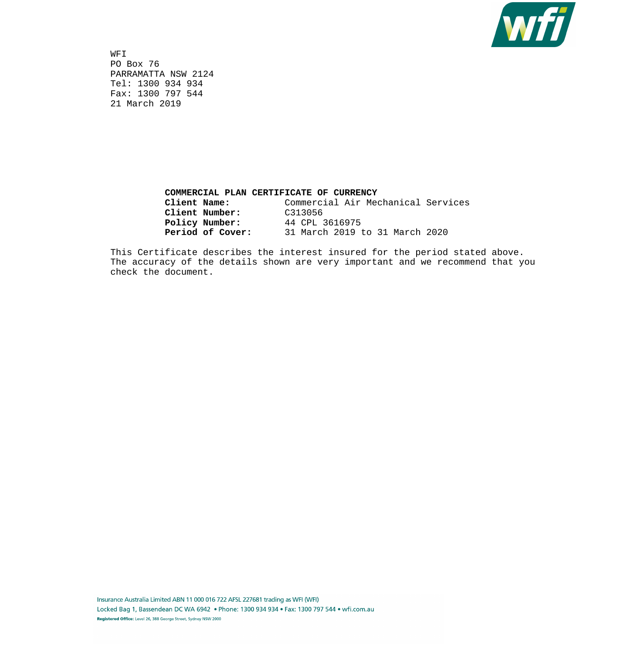

 WFI PO Box 76 PARRAMATTA NSW 2124 Tel: 1300 934 934 Fax: 1300 797 544 21 March 2019

## **COMMERCIAL PLAN CERTIFICATE OF CURRENCY Client Name:** Commercial Air Mechanical Services **Client Number:** C313056 **Policy Number:** 44 CPL 3616975 **Period of Cover:** 31 March 2019 to 31 March 2020

 This Certificate describes the interest insured for the period stated above. The accuracy of the details shown are very important and we recommend that you check the document.